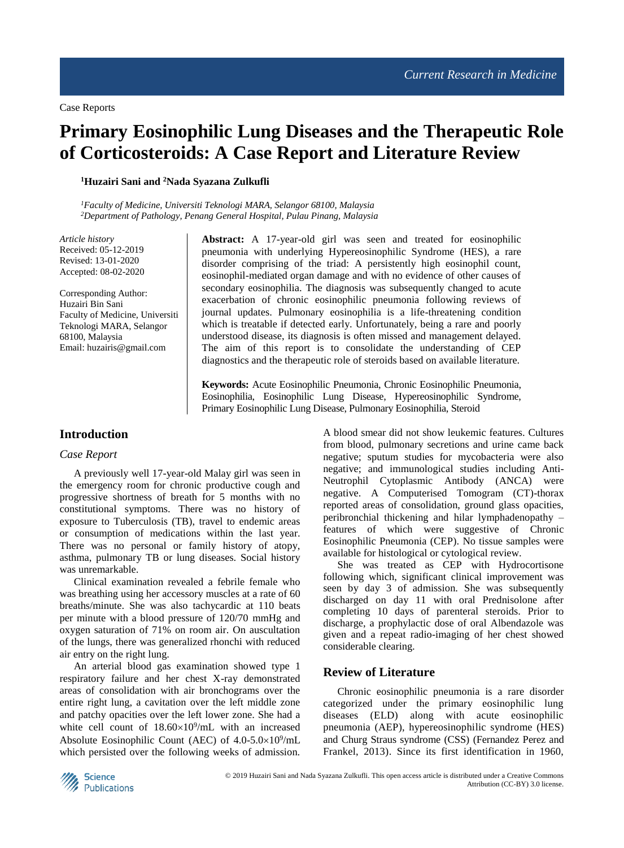# **Primary Eosinophilic Lung Diseases and the Therapeutic Role of Corticosteroids: A Case Report and Literature Review**

**<sup>1</sup>Huzairi Sani and <sup>2</sup>Nada Syazana Zulkufli**

*<sup>1</sup>Faculty of Medicine, Universiti Teknologi MARA, Selangor 68100, Malaysia <sup>2</sup>Department of Pathology, Penang General Hospital, Pulau Pinang, Malaysia*

*Article history*  Received: 05-12-2019 Revised: 13-01-2020 Accepted: 08-02-2020

Corresponding Author: Huzairi Bin Sani Faculty of Medicine, Universiti Teknologi MARA, Selangor 68100, Malaysia Email: huzairis@gmail.com

**Abstract:** A 17-year-old girl was seen and treated for eosinophilic pneumonia with underlying Hypereosinophilic Syndrome (HES), a rare disorder comprising of the triad: A persistently high eosinophil count, eosinophil-mediated organ damage and with no evidence of other causes of secondary eosinophilia. The diagnosis was subsequently changed to acute exacerbation of chronic eosinophilic pneumonia following reviews of journal updates. Pulmonary eosinophilia is a life-threatening condition which is treatable if detected early. Unfortunately, being a rare and poorly understood disease, its diagnosis is often missed and management delayed. The aim of this report is to consolidate the understanding of CEP diagnostics and the therapeutic role of steroids based on available literature.

**Keywords:** Acute Eosinophilic Pneumonia, Chronic Eosinophilic Pneumonia, Eosinophilia, Eosinophilic Lung Disease, Hypereosinophilic Syndrome, Primary Eosinophilic Lung Disease, Pulmonary Eosinophilia, Steroid

# **Introduction**

#### *Case Report*

A previously well 17-year-old Malay girl was seen in the emergency room for chronic productive cough and progressive shortness of breath for 5 months with no constitutional symptoms. There was no history of exposure to Tuberculosis (TB), travel to endemic areas or consumption of medications within the last year. There was no personal or family history of atopy, asthma, pulmonary TB or lung diseases. Social history was unremarkable.

Clinical examination revealed a febrile female who was breathing using her accessory muscles at a rate of 60 breaths/minute. She was also tachycardic at 110 beats per minute with a blood pressure of 120/70 mmHg and oxygen saturation of 71% on room air. On auscultation of the lungs, there was generalized rhonchi with reduced air entry on the right lung.

An arterial blood gas examination showed type 1 respiratory failure and her chest X-ray demonstrated areas of consolidation with air bronchograms over the entire right lung, a cavitation over the left middle zone and patchy opacities over the left lower zone. She had a white cell count of  $18.60 \times 10^9$ /mL with an increased Absolute Eosinophilic Count (AEC) of  $4.0-5.0\times10^9/\text{mL}$ which persisted over the following weeks of admission.

A blood smear did not show leukemic features. Cultures from blood, pulmonary secretions and urine came back negative; sputum studies for mycobacteria were also negative; and immunological studies including Anti-Neutrophil Cytoplasmic Antibody (ANCA) were negative. A Computerised Tomogram (CT)-thorax reported areas of consolidation, ground glass opacities, peribronchial thickening and hilar lymphadenopathy – features of which were suggestive of Chronic Eosinophilic Pneumonia (CEP). No tissue samples were available for histological or cytological review.

She was treated as CEP with Hydrocortisone following which, significant clinical improvement was seen by day 3 of admission. She was subsequently discharged on day 11 with oral Prednisolone after completing 10 days of parenteral steroids. Prior to discharge, a prophylactic dose of oral Albendazole was given and a repeat radio-imaging of her chest showed considerable clearing.

# **Review of Literature**

Chronic eosinophilic pneumonia is a rare disorder categorized under the primary eosinophilic lung diseases (ELD) along with acute eosinophilic pneumonia (AEP), hypereosinophilic syndrome (HES) and Churg Straus syndrome (CSS) (Fernandez Perez and Frankel, 2013). Since its first identification in 1960,

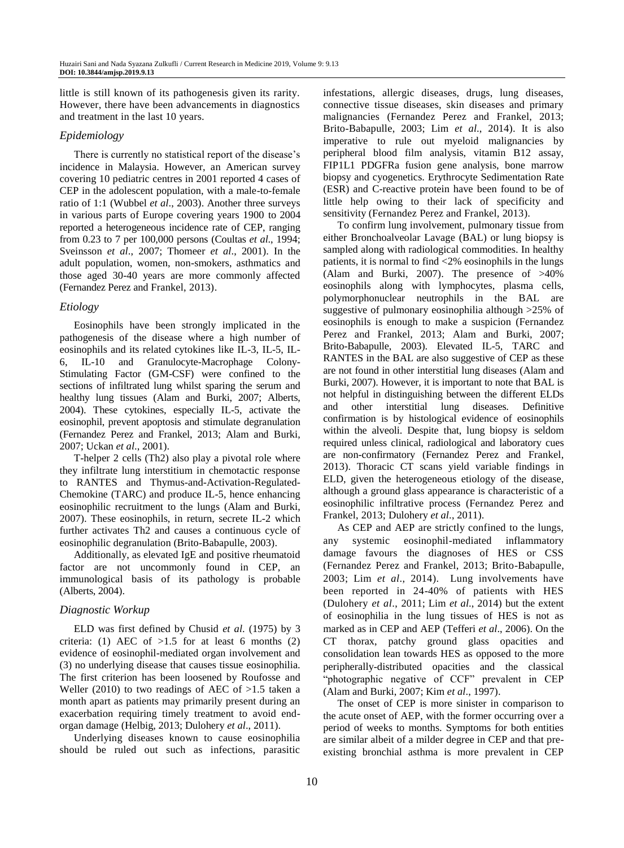little is still known of its pathogenesis given its rarity. However, there have been advancements in diagnostics and treatment in the last 10 years.

#### *Epidemiology*

There is currently no statistical report of the disease's incidence in Malaysia. However, an American survey covering 10 pediatric centres in 2001 reported 4 cases of CEP in the adolescent population, with a male-to-female ratio of 1:1 (Wubbel *et al*., 2003). Another three surveys in various parts of Europe covering years 1900 to 2004 reported a heterogeneous incidence rate of CEP, ranging from 0.23 to 7 per 100,000 persons (Coultas *et al*., 1994; Sveinsson *et al*., 2007; Thomeer *et al*., 2001). In the adult population, women, non-smokers, asthmatics and those aged 30-40 years are more commonly affected (Fernandez Perez and Frankel, 2013).

# *Etiology*

Eosinophils have been strongly implicated in the pathogenesis of the disease where a high number of eosinophils and its related cytokines like IL-3, IL-5, IL-6, IL-10 and Granulocyte-Macrophage Colony-Stimulating Factor (GM-CSF) were confined to the sections of infiltrated lung whilst sparing the serum and healthy lung tissues (Alam and Burki, 2007; Alberts, 2004). These cytokines, especially IL-5, activate the eosinophil, prevent apoptosis and stimulate degranulation (Fernandez Perez and Frankel, 2013; Alam and Burki, 2007; Uckan *et al*., 2001).

T-helper 2 cells (Th2) also play a pivotal role where they infiltrate lung interstitium in chemotactic response to RANTES and Thymus-and-Activation-Regulated-Chemokine (TARC) and produce IL-5, hence enhancing eosinophilic recruitment to the lungs (Alam and Burki, 2007). These eosinophils, in return, secrete IL-2 which further activates Th2 and causes a continuous cycle of eosinophilic degranulation (Brito-Babapulle, 2003).

Additionally, as elevated IgE and positive rheumatoid factor are not uncommonly found in CEP, an immunological basis of its pathology is probable (Alberts, 2004).

# *Diagnostic Workup*

ELD was first defined by Chusid *et al*. (1975) by 3 criteria: (1) AEC of  $>1.5$  for at least 6 months (2) evidence of eosinophil-mediated organ involvement and (3) no underlying disease that causes tissue eosinophilia. The first criterion has been loosened by Roufosse and Weller (2010) to two readings of AEC of  $>1.5$  taken a month apart as patients may primarily present during an exacerbation requiring timely treatment to avoid endorgan damage (Helbig, 2013; Dulohery *et al*., 2011).

Underlying diseases known to cause eosinophilia should be ruled out such as infections, parasitic infestations, allergic diseases, drugs, lung diseases, connective tissue diseases, skin diseases and primary malignancies (Fernandez Perez and Frankel, 2013; Brito-Babapulle, 2003; Lim *et al*., 2014). It is also imperative to rule out myeloid malignancies by peripheral blood film analysis, vitamin B12 assay, FIP1L1 PDGFRa fusion gene analysis, bone marrow biopsy and cyogenetics. Erythrocyte Sedimentation Rate (ESR) and C-reactive protein have been found to be of little help owing to their lack of specificity and sensitivity (Fernandez Perez and Frankel, 2013).

To confirm lung involvement, pulmonary tissue from either Bronchoalveolar Lavage (BAL) or lung biopsy is sampled along with radiological commodities. In healthy patients, it is normal to find <2% eosinophils in the lungs (Alam and Burki, 2007). The presence of >40% eosinophils along with lymphocytes, plasma cells, polymorphonuclear neutrophils in the BAL are suggestive of pulmonary eosinophilia although >25% of eosinophils is enough to make a suspicion (Fernandez Perez and Frankel, 2013; Alam and Burki, 2007; Brito-Babapulle, 2003). Elevated IL-5, TARC and RANTES in the BAL are also suggestive of CEP as these are not found in other interstitial lung diseases (Alam and Burki, 2007). However, it is important to note that BAL is not helpful in distinguishing between the different ELDs and other interstitial lung diseases. Definitive confirmation is by histological evidence of eosinophils within the alveoli. Despite that, lung biopsy is seldom required unless clinical, radiological and laboratory cues are non-confirmatory (Fernandez Perez and Frankel, 2013). Thoracic CT scans yield variable findings in ELD, given the heterogeneous etiology of the disease, although a ground glass appearance is characteristic of a eosinophilic infiltrative process (Fernandez Perez and Frankel, 2013; Dulohery *et al*., 2011).

As CEP and AEP are strictly confined to the lungs, any systemic eosinophil-mediated inflammatory damage favours the diagnoses of HES or CSS (Fernandez Perez and Frankel, 2013; Brito-Babapulle, 2003; Lim *et al*., 2014). Lung involvements have been reported in 24-40% of patients with HES (Dulohery *et al*., 2011; Lim *et al*., 2014) but the extent of eosinophilia in the lung tissues of HES is not as marked as in CEP and AEP (Tefferi *et al*., 2006). On the CT thorax, patchy ground glass opacities and consolidation lean towards HES as opposed to the more peripherally-distributed opacities and the classical "photographic negative of CCF" prevalent in CEP (Alam and Burki, 2007; Kim *et al*., 1997).

The onset of CEP is more sinister in comparison to the acute onset of AEP, with the former occurring over a period of weeks to months. Symptoms for both entities are similar albeit of a milder degree in CEP and that preexisting bronchial asthma is more prevalent in CEP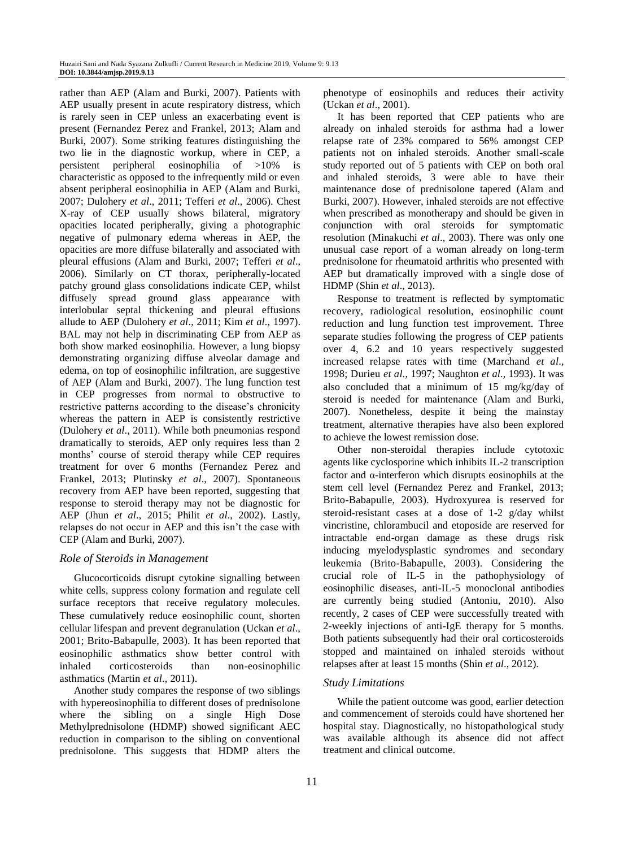rather than AEP (Alam and Burki, 2007). Patients with AEP usually present in acute respiratory distress, which is rarely seen in CEP unless an exacerbating event is present (Fernandez Perez and Frankel, 2013; Alam and Burki, 2007). Some striking features distinguishing the two lie in the diagnostic workup, where in CEP, a persistent peripheral eosinophilia of >10% is characteristic as opposed to the infrequently mild or even absent peripheral eosinophilia in AEP (Alam and Burki, 2007; Dulohery *et al*., 2011; Tefferi *et al*., 2006). Chest X-ray of CEP usually shows bilateral, migratory opacities located peripherally, giving a photographic negative of pulmonary edema whereas in AEP, the opacities are more diffuse bilaterally and associated with pleural effusions (Alam and Burki, 2007; Tefferi *et al*., 2006). Similarly on CT thorax, peripherally-located patchy ground glass consolidations indicate CEP, whilst diffusely spread ground glass appearance with interlobular septal thickening and pleural effusions allude to AEP (Dulohery *et al*., 2011; Kim *et al*., 1997). BAL may not help in discriminating CEP from AEP as both show marked eosinophilia. However, a lung biopsy demonstrating organizing diffuse alveolar damage and edema, on top of eosinophilic infiltration, are suggestive of AEP (Alam and Burki, 2007). The lung function test in CEP progresses from normal to obstructive to restrictive patterns according to the disease's chronicity whereas the pattern in AEP is consistently restrictive (Dulohery *et al*., 2011). While both pneumonias respond dramatically to steroids, AEP only requires less than 2 months' course of steroid therapy while CEP requires treatment for over 6 months (Fernandez Perez and Frankel, 2013; Plutinsky *et al*., 2007). Spontaneous recovery from AEP have been reported, suggesting that response to steroid therapy may not be diagnostic for AEP (Jhun *et al*., 2015; Philit *et al*., 2002). Lastly, relapses do not occur in AEP and this isn't the case with CEP (Alam and Burki, 2007).

#### *Role of Steroids in Management*

Glucocorticoids disrupt cytokine signalling between white cells, suppress colony formation and regulate cell surface receptors that receive regulatory molecules. These cumulatively reduce eosinophilic count, shorten cellular lifespan and prevent degranulation (Uckan *et al*., 2001; Brito-Babapulle, 2003). It has been reported that eosinophilic asthmatics show better control with inhaled corticosteroids than non-eosinophilic asthmatics (Martin *et al*., 2011).

Another study compares the response of two siblings with hypereosinophilia to different doses of prednisolone where the sibling on a single High Dose Methylprednisolone (HDMP) showed significant AEC reduction in comparison to the sibling on conventional prednisolone. This suggests that HDMP alters the phenotype of eosinophils and reduces their activity (Uckan *et al*., 2001).

It has been reported that CEP patients who are already on inhaled steroids for asthma had a lower relapse rate of 23% compared to 56% amongst CEP patients not on inhaled steroids. Another small-scale study reported out of 5 patients with CEP on both oral and inhaled steroids, 3 were able to have their maintenance dose of prednisolone tapered (Alam and Burki, 2007). However, inhaled steroids are not effective when prescribed as monotherapy and should be given in conjunction with oral steroids for symptomatic resolution (Minakuchi *et al*., 2003). There was only one unusual case report of a woman already on long-term prednisolone for rheumatoid arthritis who presented with AEP but dramatically improved with a single dose of HDMP (Shin *et al*., 2013).

Response to treatment is reflected by symptomatic recovery, radiological resolution, eosinophilic count reduction and lung function test improvement. Three separate studies following the progress of CEP patients over 4, 6.2 and 10 years respectively suggested increased relapse rates with time (Marchand *et al*., 1998; Durieu *et al*., 1997; Naughton *et al*., 1993). It was also concluded that a minimum of 15 mg/kg/day of steroid is needed for maintenance (Alam and Burki, 2007). Nonetheless, despite it being the mainstay treatment, alternative therapies have also been explored to achieve the lowest remission dose.

Other non-steroidal therapies include cytotoxic agents like cyclosporine which inhibits IL-2 transcription factor and α-interferon which disrupts eosinophils at the stem cell level (Fernandez Perez and Frankel, 2013; Brito-Babapulle, 2003). Hydroxyurea is reserved for steroid-resistant cases at a dose of 1-2 g/day whilst vincristine, chlorambucil and etoposide are reserved for intractable end-organ damage as these drugs risk inducing myelodysplastic syndromes and secondary leukemia (Brito-Babapulle, 2003). Considering the crucial role of IL-5 in the pathophysiology of eosinophilic diseases, anti-IL-5 monoclonal antibodies are currently being studied (Antoniu, 2010). Also recently, 2 cases of CEP were successfully treated with 2-weekly injections of anti-IgE therapy for 5 months. Both patients subsequently had their oral corticosteroids stopped and maintained on inhaled steroids without relapses after at least 15 months (Shin *et al*., 2012).

# *Study Limitations*

While the patient outcome was good, earlier detection and commencement of steroids could have shortened her hospital stay. Diagnostically, no histopathological study was available although its absence did not affect treatment and clinical outcome.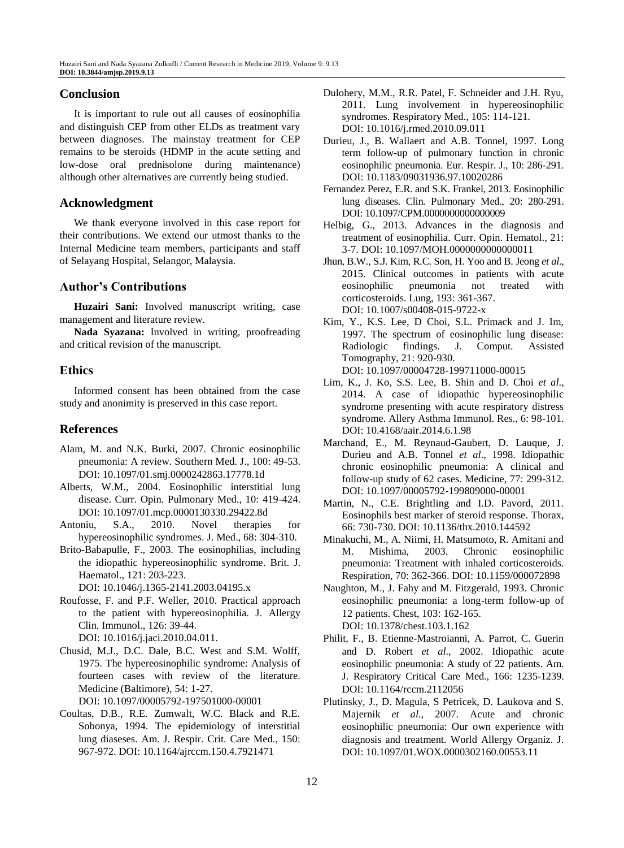# **Conclusion**

It is important to rule out all causes of eosinophilia and distinguish CEP from other ELDs as treatment vary between diagnoses. The mainstay treatment for CEP remains to be steroids (HDMP in the acute setting and low-dose oral prednisolone during maintenance) although other alternatives are currently being studied.

# **Acknowledgment**

We thank everyone involved in this case report for their contributions. We extend our utmost thanks to the Internal Medicine team members, participants and staff of Selayang Hospital, Selangor, Malaysia.

# **Author's Contributions**

**Huzairi Sani:** Involved manuscript writing, case management and literature review.

**Nada Syazana:** Involved in writing, proofreading and critical revision of the manuscript.

# **Ethics**

Informed consent has been obtained from the case study and anonimity is preserved in this case report.

# **References**

- Alam, M. and N.K. Burki, 2007. Chronic eosinophilic pneumonia: A review. Southern Med. J., 100: 49-53. DOI: 10.1097/01.smj.0000242863.17778.1d
- Alberts, W.M., 2004. Eosinophilic interstitial lung disease. Curr. Opin. Pulmonary Med., 10: 419-424. DOI: 10.1097/01.mcp.0000130330.29422.8d
- Antoniu, S.A., 2010. Novel therapies for hypereosinophilic syndromes. J. Med., 68: 304-310.
- Brito-Babapulle, F., 2003. The eosinophilias, including the idiopathic hypereosinophilic syndrome. Brit. J. Haematol., 121: 203-223.

DOI: 10.1046/j.1365-2141.2003.04195.x

- Roufosse, F. and P.F. Weller, 2010. Practical approach to the patient with hypereosinophilia. J. Allergy Clin. Immunol., 126: 39-44. DOI: 10.1016/j.jaci.2010.04.011.
- Chusid, M.J., D.C. Dale, B.C. West and S.M. Wolff, 1975. The hypereosinophilic syndrome: Analysis of fourteen cases with review of the literature. Medicine (Baltimore), 54: 1-27.

DOI: 10.1097/00005792-197501000-00001

Coultas, D.B., R.E. Zumwalt, W.C. Black and R.E. Sobonya, 1994. The epidemiology of interstitial lung diaseses. Am. J. Respir. Crit. Care Med., 150: 967-972. DOI: 10.1164/ajrccm.150.4.7921471

- Dulohery, M.M., R.R. Patel, F. Schneider and J.H. Ryu, 2011. Lung involvement in hypereosinophilic syndromes. Respiratory Med., 105: 114-121. DOI: 10.1016/j.rmed.2010.09.011
- Durieu, J., B. Wallaert and A.B. Tonnel, 1997. Long term follow-up of pulmonary function in chronic eosinophilic pneumonia. Eur. Respir. J., 10: 286-291. DOI: 10.1183/09031936.97.10020286
- Fernandez Perez, E.R. and S.K. Frankel, 2013. Eosinophilic lung diseases. Clin. Pulmonary Med., 20: 280-291. DOI: 10.1097/CPM.0000000000000009
- Helbig, G., 2013. Advances in the diagnosis and treatment of eosinophilia. Curr. Opin. Hematol., 21: 3-7. DOI: 10.1097/MOH.0000000000000011
- Jhun, B.W., S.J. Kim, R.C. Son, H. Yoo and B. Jeong *et al*., 2015. Clinical outcomes in patients with acute eosinophilic pneumonia not treated with corticosteroids. Lung, 193: 361-367. DOI: 10.1007/s00408-015-9722-x
- Kim, Y., K.S. Lee, D Choi, S.L. Primack and J. Im, 1997. The spectrum of eosinophilic lung disease: Radiologic findings. J. Comput. Assisted Tomography, 21: 920-930. DOI: 10.1097/00004728-199711000-00015
- Lim, K., J. Ko, S.S. Lee, B. Shin and D. Choi *et al*., 2014. A case of idiopathic hypereosinophilic syndrome presenting with acute respiratory distress syndrome. Allery Asthma Immunol. Res., 6: 98-101. DOI: 10.4168/aair.2014.6.1.98
- Marchand, E., M. Reynaud-Gaubert, D. Lauque, J. Durieu and A.B. Tonnel *et al*., 1998. Idiopathic chronic eosinophilic pneumonia: A clinical and follow-up study of 62 cases. Medicine, 77: 299-312. DOI: 10.1097/00005792-199809000-00001
- Martin, N., C.E. Brightling and I.D. Pavord, 2011. Eosinophils best marker of steroid response. Thorax, 66: 730-730. DOI: 10.1136/thx.2010.144592
- Minakuchi, M., A. Niimi, H. Matsumoto, R. Amitani and M. Mishima, 2003. Chronic eosinophilic pneumonia: Treatment with inhaled corticosteroids. Respiration, 70: 362-366. DOI: 10.1159/000072898
- Naughton, M., J. Fahy and M. Fitzgerald, 1993. Chronic eosinophilic pneumonia: a long-term follow-up of 12 patients. Chest, 103: 162-165. DOI: 10.1378/chest.103.1.162
- Philit, F., B. Etienne-Mastroianni, A. Parrot, C. Guerin and D. Robert *et al*., 2002. Idiopathic acute eosinophilic pneumonia: A study of 22 patients. Am. J. Respiratory Critical Care Med., 166: 1235-1239. DOI: 10.1164/rccm.2112056
- Plutinsky, J., D. Magula, S Petricek, D. Laukova and S. Majernik *et al*., 2007. Acute and chronic eosinophilic pneumonia: Our own experience with diagnosis and treatment. World Allergy Organiz. J. DOI: 10.1097/01.WOX.0000302160.00553.11